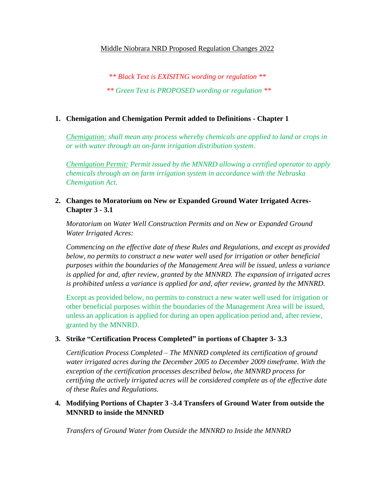#### Middle Niobrara NRD Proposed Regulation Changes 2022

*\*\* Black Text is EXISITNG wording or regulation \*\* \*\* Green Text is PROPOSED wording or regulation \*\**

### **1. Chemigation and Chemigation Permit added to Definitions - Chapter 1**

*Chemigation: shall mean any process whereby chemicals are applied to land or crops in or with water through an on-farm irrigation distribution system.*

*Chemigation Permit: Permit issued by the MNNRD allowing a certified operator to apply chemicals through an on farm irrigation system in accordance with the Nebraska Chemigation Act.*

## **2. Changes to Moratorium on New or Expanded Ground Water Irrigated Acres-Chapter 3 - 3.1**

*Moratorium on Water Well Construction Permits and on New or Expanded Ground Water Irrigated Acres:* 

*Commencing on the effective date of these Rules and Regulations, and except as provided below, no permits to construct a new water well used for irrigation or other beneficial purposes within the boundaries of the Management Area will be issued, unless a variance is applied for and, after review, granted by the MNNRD. The expansion of irrigated acres is prohibited unless a variance is applied for and, after review, granted by the MNNRD.*

Except as provided below, no permits to construct a new water well used for irrigation or other beneficial purposes within the boundaries of the Management Area will be issued, unless an application is applied for during an open application period and, after review, granted by the MNNRD.

### **3. Strike "Certification Process Completed" in portions of Chapter 3- 3.3**

*Certification Process Completed – The MNNRD completed its certification of ground water irrigated acres during the December 2005 to December 2009 timeframe. With the exception of the certification processes described below, the MNNRD process for certifying the actively irrigated acres will be considered complete as of the effective date of these Rules and Regulations.* 

# **4. Modifying Portions of Chapter 3 -3.4 Transfers of Ground Water from outside the MNNRD to inside the MNNRD**

*Transfers of Ground Water from Outside the MNNRD to Inside the MNNRD*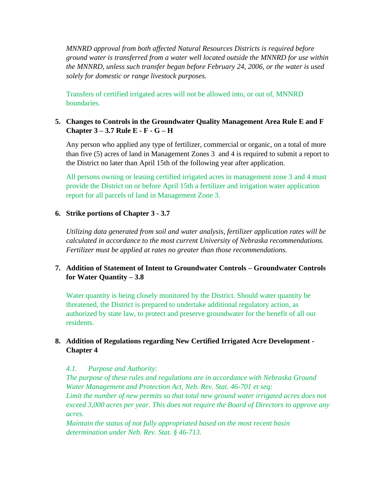*MNNRD approval from both affected Natural Resources Districts is required before ground water is transferred from a water well located outside the MNNRD for use within the MNNRD, unless such transfer began before February 24, 2006, or the water is used solely for domestic or range livestock purposes.*

Transfers of certified irrigated acres will not be allowed into, or out of, MNNRD boundaries.

# **5. Changes to Controls in the Groundwater Quality Management Area Rule E and F Chapter 3 – 3.7 Rule E - F - G – H**

Any person who applied any type of fertilizer, commercial or organic, on a total of more than five (5) acres of land in Management Zones 3 and 4 is required to submit a report to the District no later than April 15th of the following year after application.

All persons owning or leasing certified irrigated acres in management zone 3 and 4 must provide the District on or before April 15th a fertilizer and irrigation water application report for all parcels of land in Management Zone 3.

#### **6. Strike portions of Chapter 3 - 3.7**

*Utilizing data generated from soil and water analysis, fertilizer application rates will be calculated in accordance to the most current University of Nebraska recommendations. Fertilizer must be applied at rates no greater than those recommendations.*

# **7. Addition of Statement of Intent to Groundwater Controls – Groundwater Controls for Water Quantity – 3.8**

Water quantity is being closely monitored by the District. Should water quantity be threatened, the District is prepared to undertake additional regulatory action, as authorized by state law, to protect and preserve groundwater for the benefit of all our residents.

### **8. Addition of Regulations regarding New Certified Irrigated Acre Development - Chapter 4**

### *4.1. Purpose and Authority:*

*The purpose of these rules and regulations are in accordance with Nebraska Ground Water Management and Protection Act, Neb. Rev. Stat. 46-701 et seq: Limit the number of new permits so that total new ground water irrigated acres does not exceed 3,000 acres per year. This does not require the Board of Directors to approve any acres.*

*Maintain the status of not fully appropriated based on the most recent basin determination under Neb. Rev. Stat. § 46-713.*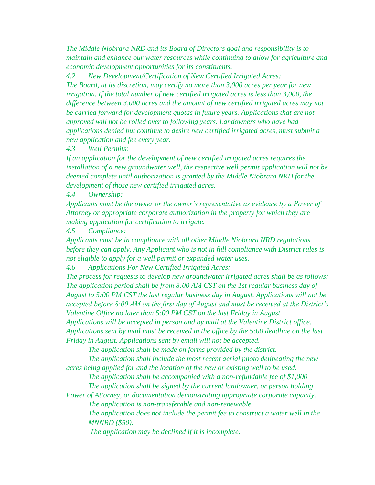*The Middle Niobrara NRD and its Board of Directors goal and responsibility is to maintain and enhance our water resources while continuing to allow for agriculture and economic development opportunities for its constituents.*

*4.2. New Development/Certification of New Certified Irrigated Acres:* 

*The Board, at its discretion, may certify no more than 3,000 acres per year for new irrigation. If the total number of new certified irrigated acres is less than 3,000, the difference between 3,000 acres and the amount of new certified irrigated acres may not be carried forward for development quotas in future years. Applications that are not approved will not be rolled over to following years. Landowners who have had applications denied but continue to desire new certified irrigated acres, must submit a new application and fee every year.* 

*4.3 Well Permits:* 

*If an application for the development of new certified irrigated acres requires the installation of a new groundwater well, the respective well permit application will not be deemed complete until authorization is granted by the Middle Niobrara NRD for the development of those new certified irrigated acres.* 

*4.4 Ownership:* 

*Applicants must be the owner or the owner's representative as evidence by a Power of Attorney or appropriate corporate authorization in the property for which they are making application for certification to irrigate.* 

*4.5 Compliance:* 

*Applicants must be in compliance with all other Middle Niobrara NRD regulations before they can apply. Any Applicant who is not in full compliance with District rules is not eligible to apply for a well permit or expanded water uses.*

*4.6 Applications For New Certified Irrigated Acres:* 

*The process for requests to develop new groundwater irrigated acres shall be as follows: The application period shall be from 8:00 AM CST on the 1st regular business day of August to 5:00 PM CST the last regular business day in August. Applications will not be accepted before 8:00 AM on the first day of August and must be received at the District's Valentine Office no later than 5:00 PM CST on the last Friday in August.* 

*Applications will be accepted in person and by mail at the Valentine District office. Applications sent by mail must be received in the office by the 5:00 deadline on the last Friday in August. Applications sent by email will not be accepted.* 

*The application shall be made on forms provided by the district.*

*The application shall include the most recent aerial photo delineating the new acres being applied for and the location of the new or existing well to be used.*

*The application shall be accompanied with a non-refundable fee of \$1,000 The application shall be signed by the current landowner, or person holding* 

*Power of Attorney, or documentation demonstrating appropriate corporate capacity. The application is non-transferable and non-renewable.*

*The application does not include the permit fee to construct a water well in the MNNRD (\$50).*

*The application may be declined if it is incomplete.*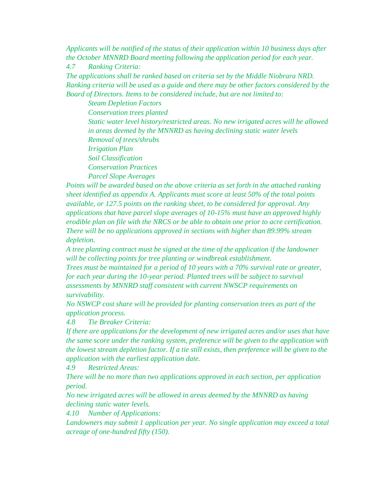*Applicants will be notified of the status of their application within 10 business days after the October MNNRD Board meeting following the application period for each year.* 

*4.7 Ranking Criteria:* 

*The applications shall be ranked based on criteria set by the Middle Niobrara NRD. Ranking criteria will be used as a guide and there may be other factors considered by the Board of Directors. Items to be considered include, but are not limited to:*

*Steam Depletion Factors Conservation trees planted Static water level history/restricted areas. No new irrigated acres will be allowed in areas deemed by the MNNRD as having declining static water levels Removal of trees/shrubs Irrigation Plan Soil Classification Conservation Practices Parcel Slope Averages*

*Points will be awarded based on the above criteria as set forth in the attached ranking sheet identified as appendix A. Applicants must score at least 50% of the total points available, or 127.5 points on the ranking sheet, to be considered for approval. Any applications that have parcel slope averages of 10-15% must have an approved highly erodible plan on file with the NRCS or be able to obtain one prior to acre certification. There will be no applications approved in sections with higher than 89.99% stream depletion.* 

*A tree planting contract must be signed at the time of the application if the landowner will be collecting points for tree planting or windbreak establishment.*

*Trees must be maintained for a period of 10 years with a 70% survival rate or greater, for each year during the 10-year period. Planted trees will be subject to survival assessments by MNNRD staff consistent with current NWSCP requirements on survivability.* 

*No NSWCP cost share will be provided for planting conservation trees as part of the application process.*

*4.8 Tie Breaker Criteria:*

*If there are applications for the development of new irrigated acres and/or uses that have the same score under the ranking system, preference will be given to the application with the lowest stream depletion factor. If a tie still exists, then preference will be given to the application with the earliest application date.*

*4.9 Restricted Areas:*

*There will be no more than two applications approved in each section, per application period.*

*No new irrigated acres will be allowed in areas deemed by the MNNRD as having declining static water levels.* 

*4.10 Number of Applications:* 

*Landowners may submit 1 application per year. No single application may exceed a total acreage of one-hundred fifty (150).*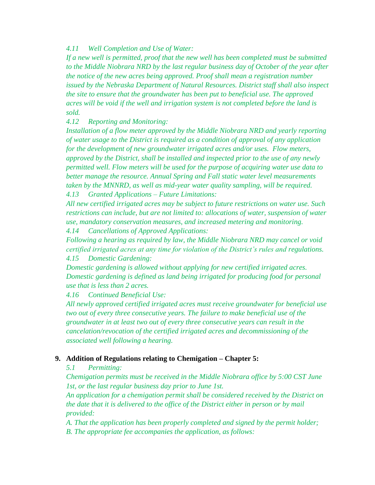### *4.11 Well Completion and Use of Water:*

*If a new well is permitted, proof that the new well has been completed must be submitted to the Middle Niobrara NRD by the last regular business day of October of the year after the notice of the new acres being approved. Proof shall mean a registration number issued by the Nebraska Department of Natural Resources. District staff shall also inspect the site to ensure that the groundwater has been put to beneficial use. The approved acres will be void if the well and irrigation system is not completed before the land is sold.*

*4.12 Reporting and Monitoring:* 

*Installation of a flow meter approved by the Middle Niobrara NRD and yearly reporting of water usage to the District is required as a condition of approval of any application for the development of new groundwater irrigated acres and/or uses. Flow meters, approved by the District, shall be installed and inspected prior to the use of any newly permitted well. Flow meters will be used for the purpose of acquiring water use data to better manage the resource. Annual Spring and Fall static water level measurements taken by the MNNRD, as well as mid-year water quality sampling, will be required. 4.13 Granted Applications – Future Limitations:* 

*All new certified irrigated acres may be subject to future restrictions on water use. Such restrictions can include, but are not limited to: allocations of water, suspension of water use, mandatory conservation measures, and increased metering and monitoring. 4.14 Cancellations of Approved Applications:* 

*Following a hearing as required by law, the Middle Niobrara NRD may cancel or void certified irrigated acres at any time for violation of the District's rules and regulations.*

*4.15 Domestic Gardening:* 

*Domestic gardening is allowed without applying for new certified irrigated acres. Domestic gardening is defined as land being irrigated for producing food for personal use that is less than 2 acres.* 

*4.16 Continued Beneficial Use:* 

*All newly approved certified irrigated acres must receive groundwater for beneficial use two out of every three consecutive years. The failure to make beneficial use of the groundwater in at least two out of every three consecutive years can result in the cancelation/revocation of the certified irrigated acres and decommissioning of the associated well following a hearing.*

### **9. Addition of Regulations relating to Chemigation – Chapter 5:**

### *5.1 Permitting:*

*Chemigation permits must be received in the Middle Niobrara office by 5:00 CST June 1st, or the last regular business day prior to June 1st.*

*An application for a chemigation permit shall be considered received by the District on the date that it is delivered to the office of the District either in person or by mail provided:*

*A. That the application has been properly completed and signed by the permit holder; B. The appropriate fee accompanies the application, as follows:*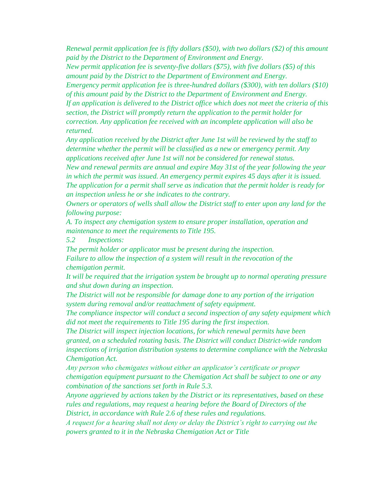*Renewal permit application fee is fifty dollars (\$50), with two dollars (\$2) of this amount paid by the District to the Department of Environment and Energy.*

*New permit application fee is seventy-five dollars (\$75), with five dollars (\$5) of this amount paid by the District to the Department of Environment and Energy.*

*Emergency permit application fee is three-hundred dollars (\$300), with ten dollars (\$10) of this amount paid by the District to the Department of Environment and Energy.*

*If an application is delivered to the District office which does not meet the criteria of this section, the District will promptly return the application to the permit holder for correction. Any application fee received with an incomplete application will also be returned.* 

*Any application received by the District after June 1st will be reviewed by the staff to determine whether the permit will be classified as a new or emergency permit. Any applications received after June 1st will not be considered for renewal status.* 

*New and renewal permits are annual and expire May 31st of the year following the year in which the permit was issued. An emergency permit expires 45 days after it is issued. The application for a permit shall serve as indication that the permit holder is ready for an inspection unless he or she indicates to the contrary.*

*Owners or operators of wells shall allow the District staff to enter upon any land for the following purpose:*

*A. To inspect any chemigation system to ensure proper installation, operation and maintenance to meet the requirements to Title 195.*

*5.2 Inspections:*

*The permit holder or applicator must be present during the inspection. Failure to allow the inspection of a system will result in the revocation of the chemigation permit.* 

*It will be required that the irrigation system be brought up to normal operating pressure and shut down during an inspection.*

*The District will not be responsible for damage done to any portion of the irrigation system during removal and/or reattachment of safety equipment.*

*The compliance inspector will conduct a second inspection of any safety equipment which did not meet the requirements to Title 195 during the first inspection.*

*The District will inspect injection locations, for which renewal permits have been granted, on a scheduled rotating basis. The District will conduct District-wide random inspections of irrigation distribution systems to determine compliance with the Nebraska Chemigation Act.*

*Any person who chemigates without either an applicator's certificate or proper chemigation equipment pursuant to the Chemigation Act shall be subject to one or any combination of the sanctions set forth in Rule 5.3.*

*Anyone aggrieved by actions taken by the District or its representatives, based on these rules and regulations, may request a hearing before the Board of Directors of the District, in accordance with Rule 2.6 of these rules and regulations.*

*A request for a hearing shall not deny or delay the District's right to carrying out the powers granted to it in the Nebraska Chemigation Act or Title*